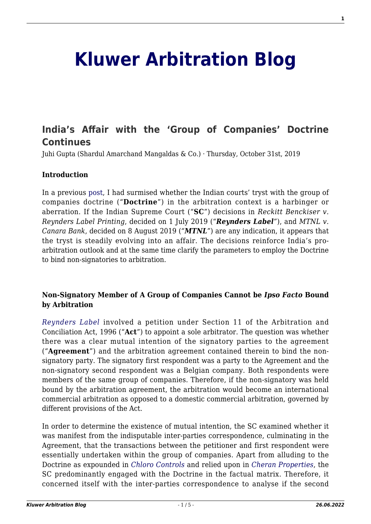# **[Kluwer Arbitration Blog](http://arbitrationblog.kluwerarbitration.com/)**

## **[India's Affair with the 'Group of Companies' Doctrine](http://arbitrationblog.kluwerarbitration.com/2019/10/31/indias-affair-with-the-group-of-companies-doctrine-continues/) [Continues](http://arbitrationblog.kluwerarbitration.com/2019/10/31/indias-affair-with-the-group-of-companies-doctrine-continues/)**

Juhi Gupta (Shardul Amarchand Mangaldas & Co.) · Thursday, October 31st, 2019

#### **Introduction**

In a previous [post](http://arbitrationblog.kluwerarbitration.com/2018/11/27/indias-tryst-group-companies-doctrine-harbinger-aberration/), I had surmised whether the Indian courts' tryst with the group of companies doctrine ("**Doctrine**") in the arbitration context is a harbinger or aberration. If the Indian Supreme Court ("**SC**") decisions in *Reckitt Benckiser v. Reynders Label Printing*, decided on 1 July 2019 ("*Reynders Label"*), and *MTNL v. Canara Bank*, decided on 8 August 2019 (*"MTNL*") are any indication, it appears that the tryst is steadily evolving into an affair. The decisions reinforce India's proarbitration outlook and at the same time clarify the parameters to employ the Doctrine to bind non-signatories to arbitration.

#### **Non-Signatory Member of A Group of Companies Cannot be** *Ipso Facto* **Bound by Arbitration**

*[Reynders Label](https://sci.gov.in/supremecourt/2016/24972/24972_2016_9_1503_14652_Judgement_01-Jul-2019.pdf)* involved a petition under Section 11 of the Arbitration and Conciliation Act, 1996 ("**Act**") to appoint a sole arbitrator. The question was whether there was a clear mutual intention of the signatory parties to the agreement ("**Agreement**") and the arbitration agreement contained therein to bind the nonsignatory party. The signatory first respondent was a party to the Agreement and the non-signatory second respondent was a Belgian company. Both respondents were members of the same group of companies. Therefore, if the non-signatory was held bound by the arbitration agreement, the arbitration would become an international commercial arbitration as opposed to a domestic commercial arbitration, governed by different provisions of the Act.

In order to determine the existence of mutual intention, the SC examined whether it was manifest from the indisputable inter-parties correspondence, culminating in the Agreement, that the transactions between the petitioner and first respondent were essentially undertaken within the group of companies. Apart from alluding to the Doctrine as expounded in *[Chloro Controls](https://www.sci.gov.in/jonew/judis/39605.pdf)* and relied upon in *[Cheran Properties](https://sci.gov.in/supremecourt/2017/23055/23055_2017_Judgement_24-Apr-2018.pdf)*, the SC predominantly engaged with the Doctrine in the factual matrix. Therefore, it concerned itself with the inter-parties correspondence to analyse if the second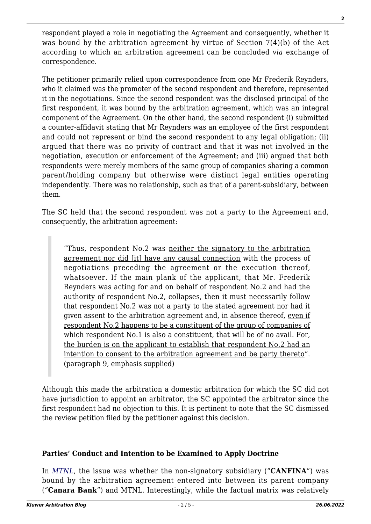respondent played a role in negotiating the Agreement and consequently, whether it was bound by the arbitration agreement by virtue of Section 7(4)(b) of the Act according to which an arbitration agreement can be concluded *via* exchange of correspondence.

The petitioner primarily relied upon correspondence from one Mr Frederik Reynders, who it claimed was the promoter of the second respondent and therefore, represented it in the negotiations. Since the second respondent was the disclosed principal of the first respondent, it was bound by the arbitration agreement, which was an integral component of the Agreement. On the other hand, the second respondent (i) submitted a counter-affidavit stating that Mr Reynders was an employee of the first respondent and could not represent or bind the second respondent to any legal obligation; (ii) argued that there was no privity of contract and that it was not involved in the negotiation, execution or enforcement of the Agreement; and (iii) argued that both respondents were merely members of the same group of companies sharing a common parent/holding company but otherwise were distinct legal entities operating independently. There was no relationship, such as that of a parent-subsidiary, between them.

The SC held that the second respondent was not a party to the Agreement and, consequently, the arbitration agreement:

"Thus, respondent No.2 was neither the signatory to the arbitration agreement nor did [it] have any causal connection with the process of negotiations preceding the agreement or the execution thereof, whatsoever. If the main plank of the applicant, that Mr. Frederik Reynders was acting for and on behalf of respondent No.2 and had the authority of respondent No.2, collapses, then it must necessarily follow that respondent No.2 was not a party to the stated agreement nor had it given assent to the arbitration agreement and, in absence thereof, even if respondent No.2 happens to be a constituent of the group of companies of which respondent No.1 is also a constituent, that will be of no avail. For, the burden is on the applicant to establish that respondent No.2 had an intention to consent to the arbitration agreement and be party thereto". (paragraph 9, emphasis supplied)

Although this made the arbitration a domestic arbitration for which the SC did not have jurisdiction to appoint an arbitrator, the SC appointed the arbitrator since the first respondent had no objection to this. It is pertinent to note that the SC dismissed the review petition filed by the petitioner against this decision.

#### **Parties' Conduct and Intention to be Examined to Apply Doctrine**

In *[MTNL](https://sci.gov.in/supremecourt/2014/11020/11020_2014_6_1501_15918_Judgement_08-Aug-2019.pdf)*, the issue was whether the non-signatory subsidiary ("**CANFINA**") was bound by the arbitration agreement entered into between its parent company ("**Canara Bank**") and MTNL. Interestingly, while the factual matrix was relatively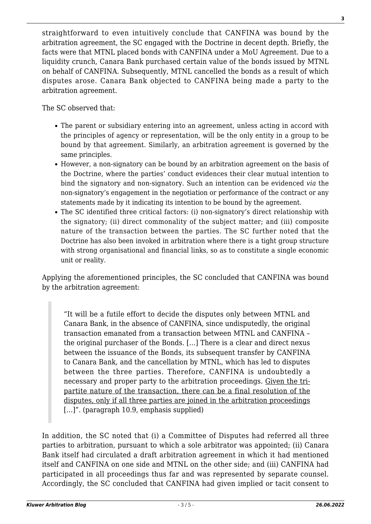straightforward to even intuitively conclude that CANFINA was bound by the arbitration agreement, the SC engaged with the Doctrine in decent depth. Briefly, the facts were that MTNL placed bonds with CANFINA under a MoU Agreement. Due to a liquidity crunch, Canara Bank purchased certain value of the bonds issued by MTNL on behalf of CANFINA. Subsequently, MTNL cancelled the bonds as a result of which disputes arose. Canara Bank objected to CANFINA being made a party to the arbitration agreement.

The SC observed that:

- The parent or subsidiary entering into an agreement, unless acting in accord with the principles of agency or representation, will be the only entity in a group to be bound by that agreement. Similarly, an arbitration agreement is governed by the same principles.
- However, a non-signatory can be bound by an arbitration agreement on the basis of the Doctrine, where the parties' conduct evidences their clear mutual intention to bind the signatory and non-signatory. Such an intention can be evidenced *via* the non-signatory's engagement in the negotiation or performance of the contract or any statements made by it indicating its intention to be bound by the agreement.
- The SC identified three critical factors: (i) non-signatory's direct relationship with the signatory; (ii) direct commonality of the subject matter; and (iii) composite nature of the transaction between the parties. The SC further noted that the Doctrine has also been invoked in arbitration where there is a tight group structure with strong organisational and financial links, so as to constitute a single economic unit or reality.

Applying the aforementioned principles, the SC concluded that CANFINA was bound by the arbitration agreement:

"It will be a futile effort to decide the disputes only between MTNL and Canara Bank, in the absence of CANFINA, since undisputedly, the original transaction emanated from a transaction between MTNL and CANFINA – the original purchaser of the Bonds. […] There is a clear and direct nexus between the issuance of the Bonds, its subsequent transfer by CANFINA to Canara Bank, and the cancellation by MTNL, which has led to disputes between the three parties. Therefore, CANFINA is undoubtedly a necessary and proper party to the arbitration proceedings. Given the tripartite nature of the transaction, there can be a final resolution of the disputes, only if all three parties are joined in the arbitration proceedings [...]". (paragraph 10.9, emphasis supplied)

In addition, the SC noted that (i) a Committee of Disputes had referred all three parties to arbitration, pursuant to which a sole arbitrator was appointed; (ii) Canara Bank itself had circulated a draft arbitration agreement in which it had mentioned itself and CANFINA on one side and MTNL on the other side; and (iii) CANFINA had participated in all proceedings thus far and was represented by separate counsel. Accordingly, the SC concluded that CANFINA had given implied or tacit consent to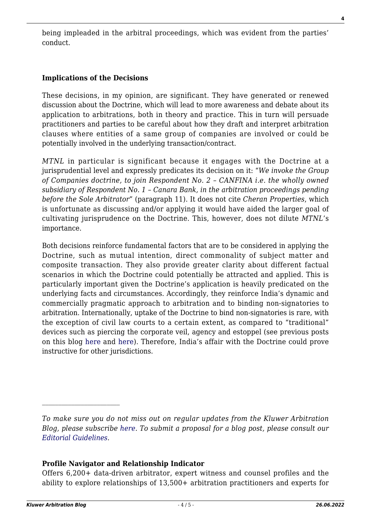being impleaded in the arbitral proceedings, which was evident from the parties' conduct.

### **Implications of the Decisions**

These decisions, in my opinion, are significant. They have generated or renewed discussion about the Doctrine, which will lead to more awareness and debate about its application to arbitrations, both in theory and practice. This in turn will persuade practitioners and parties to be careful about how they draft and interpret arbitration clauses where entities of a same group of companies are involved or could be potentially involved in the underlying transaction/contract.

*MTNL* in particular is significant because it engages with the Doctrine at a jurisprudential level and expressly predicates its decision on it: "*We invoke the Group of Companies doctrine, to join Respondent No. 2 – CANFINA i.e. the wholly owned subsidiary of Respondent No. 1 – Canara Bank, in the arbitration proceedings pending before the Sole Arbitrator*" (paragraph 11). It does not cite *Cheran Properties*, which is unfortunate as discussing and/or applying it would have aided the larger goal of cultivating jurisprudence on the Doctrine. This, however, does not dilute *MTNL*'s importance.

Both decisions reinforce fundamental factors that are to be considered in applying the Doctrine, such as mutual intention, direct commonality of subject matter and composite transaction. They also provide greater clarity about different factual scenarios in which the Doctrine could potentially be attracted and applied. This is particularly important given the Doctrine's application is heavily predicated on the underlying facts and circumstances. Accordingly, they reinforce India's dynamic and commercially pragmatic approach to arbitration and to binding non-signatories to arbitration. Internationally, uptake of the Doctrine to bind non-signatories is rare, with the exception of civil law courts to a certain extent, as compared to "traditional" devices such as piercing the corporate veil, agency and estoppel (see previous posts on this blog [here](http://arbitrationblog.kluwerarbitration.com/2009/03/12/a-ghost-laid-to-rest/) and [here\)](http://arbitrationblog.kluwerarbitration.com/2014/07/30/when-does-an-arbitration-agreement-have-a-binding-effect-on-non-signatories-the-group-of-companies-doctrine-vs-conflict-of-laws-rules-and-public-policy/). Therefore, India's affair with the Doctrine could prove instructive for other jurisdictions.

#### **Profile Navigator and Relationship Indicator**

Offers 6,200+ data-driven arbitrator, expert witness and counsel profiles and the ability to explore relationships of 13,500+ arbitration practitioners and experts for

*To make sure you do not miss out on regular updates from the Kluwer Arbitration Blog, please subscribe [here](http://arbitrationblog.kluwerarbitration.com/newsletter/). To submit a proposal for a blog post, please consult our [Editorial Guidelines.](http://arbitrationblog.kluwerarbitration.com/editorial-guidelines/)*